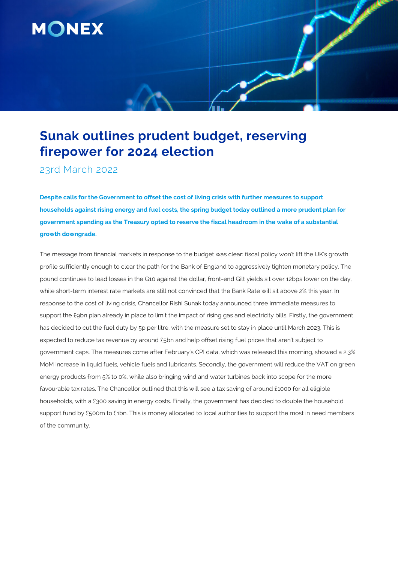

# **Sunak outlines prudent budget, reserving firepower for 2024 election**

23rd March 2022

**Despite calls for the Government to offset the cost of living crisis with further measures to support households against rising energy and fuel costs, the spring budget today outlined a more prudent plan for government spending as the Treasury opted to reserve the fiscal headroom in the wake of a substantial growth downgrade.**

The message from financial markets in response to the budget was clear: fiscal policy won't lift the UK's growth profile sufficiently enough to clear the path for the Bank of England to aggressively tighten monetary policy. The pound continues to lead losses in the G10 against the dollar, front-end Gilt yields sit over 12bps lower on the day, while short-term interest rate markets are still not convinced that the Bank Rate will sit above 2% this year. In response to the cost of living crisis, Chancellor Rishi Sunak today announced three immediate measures to support the £9bn plan already in place to limit the impact of rising gas and electricity bills. Firstly, the government has decided to cut the fuel duty by 5p per litre, with the measure set to stay in place until March 2023. This is expected to reduce tax revenue by around £5bn and help offset rising fuel prices that aren't subject to government caps. The measures come after February's CPI data, which was released this morning, showed a 2.3% MoM increase in liquid fuels, vehicle fuels and lubricants. Secondly, the government will reduce the VAT on green energy products from 5% to 0%, while also bringing wind and water turbines back into scope for the more favourable tax rates. The Chancellor outlined that this will see a tax saving of around £1000 for all eligible households, with a £300 saving in energy costs. Finally, the government has decided to double the household support fund by £500m to £1bn. This is money allocated to local authorities to support the most in need members of the community.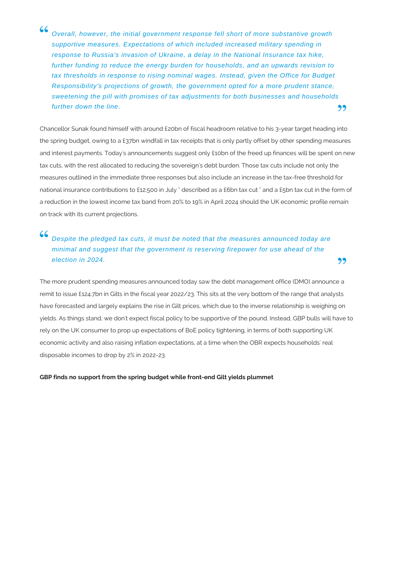66 Overall, however, the initial government response fell short of more substantive growth supportive measures. Expectations of which included increased military spending in response to Russia's invasion of Ukraine, a delay in the National Insurance tax hike, further funding to reduce the energy burden for households, and an upwards revision to tax thresholds in response to rising nominal wages. Instead, given the Office for Budget Responsibility's projections of growth, the government opted for a more prudent stance, sweetening the pill with promises of tax adjustments for both businesses and households further down the line. 99

Chancellor Sunak found himself with around £20bn of fiscal headroom relative to his 3-year target heading into the spring budget, owing to a £37bn windfall in tax receipts that is only partly offset by other spending measures and interest payments. Today's announcements suggest only £10bn of the freed up finances will be spent on new tax cuts, with the rest allocated to reducing the sovereign's debt burden. Those tax cuts include not only the measures outlined in the immediate three responses but also include an increase in the tax-free threshold for national insurance contributions to £12,500 in July " described as a £6bn tax cut " and a £5bn tax cut in the form of a reduction in the lowest income tax band from 20% to 19% in April 2024 should the UK economic profile remain on track with its current projections.

# 66 Despite the pledged tax cuts, it must be noted that the measures announced today are minimal and suggest that the government is reserving firepower for use ahead of the election in 2024.

The more prudent spending measures announced today saw the debt management office (DMO) announce a remit to issue £124.7bn in Gilts in the fiscal year 2022/23. This sits at the very bottom of the range that analysts have forecasted and largely explains the rise in Gilt prices, which due to the inverse relationship is weighing on yields. As things stand, we don't expect fiscal policy to be supportive of the pound. Instead, GBP bulls will have to rely on the UK consumer to prop up expectations of BoE policy tightening, in terms of both supporting UK economic activity and also raising inflation expectations, at a time when the OBR expects households' real disposable incomes to drop by 2% in 2022-23.

,,

## **GBP finds no support from the spring budget while front-end Gilt yields plummet**